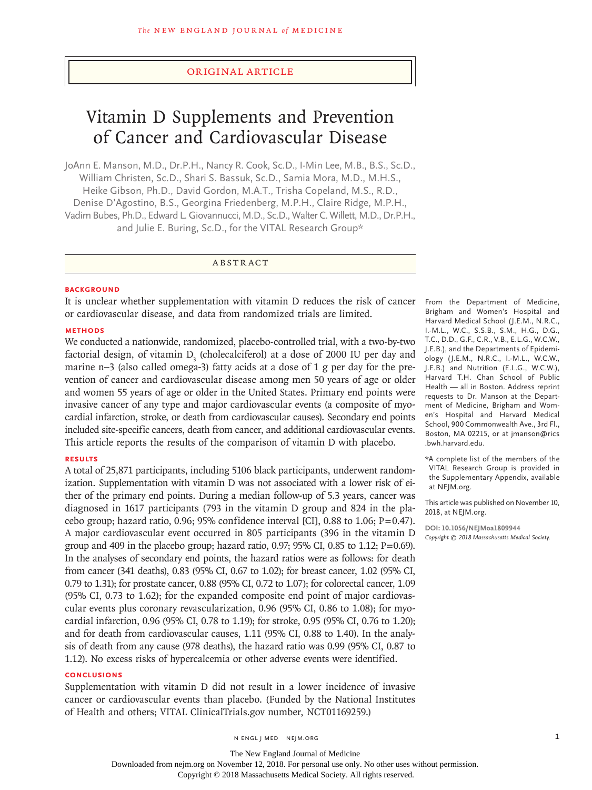## Original Article

# Vitamin D Supplements and Prevention of Cancer and Cardiovascular Disease

JoAnn E. Manson, M.D., Dr.P.H., Nancy R. Cook, Sc.D., I-Min Lee, M.B., B.S., Sc.D., William Christen, Sc.D., Shari S. Bassuk, Sc.D., Samia Mora, M.D., M.H.S., Heike Gibson, Ph.D., David Gordon, M.A.T., Trisha Copeland, M.S., R.D., Denise D'Agostino, B.S., Georgina Friedenberg, M.P.H., Claire Ridge, M.P.H., Vadim Bubes, Ph.D., Edward L. Giovannucci, M.D., Sc.D., WalterC. Willett, M.D., Dr.P.H., and Julie E. Buring, Sc.D., for the VITAL Research Group\*

# ABSTRACT

#### **BACKGROUND**

It is unclear whether supplementation with vitamin D reduces the risk of cancer or cardiovascular disease, and data from randomized trials are limited.

#### **METHODS**

We conducted a nationwide, randomized, placebo-controlled trial, with a two-by-two factorial design, of vitamin  $D_3$  (cholecalciferol) at a dose of 2000 IU per day and marine n−3 (also called omega-3) fatty acids at a dose of 1 g per day for the prevention of cancer and cardiovascular disease among men 50 years of age or older and women 55 years of age or older in the United States. Primary end points were invasive cancer of any type and major cardiovascular events (a composite of myocardial infarction, stroke, or death from cardiovascular causes). Secondary end points included site-specific cancers, death from cancer, and additional cardiovascular events. This article reports the results of the comparison of vitamin D with placebo.

#### **RESULTS**

A total of 25,871 participants, including 5106 black participants, underwent randomization. Supplementation with vitamin D was not associated with a lower risk of either of the primary end points. During a median follow-up of 5.3 years, cancer was diagnosed in 1617 participants (793 in the vitamin D group and 824 in the placebo group; hazard ratio, 0.96; 95% confidence interval [CI], 0.88 to 1.06;  $P=0.47$ ). A major cardiovascular event occurred in 805 participants (396 in the vitamin D group and 409 in the placebo group; hazard ratio, 0.97; 95% CI, 0.85 to 1.12; P=0.69). In the analyses of secondary end points, the hazard ratios were as follows: for death from cancer (341 deaths), 0.83 (95% CI, 0.67 to 1.02); for breast cancer, 1.02 (95% CI, 0.79 to 1.31); for prostate cancer, 0.88 (95% CI, 0.72 to 1.07); for colorectal cancer, 1.09 (95% CI, 0.73 to 1.62); for the expanded composite end point of major cardiovascular events plus coronary revascularization, 0.96 (95% CI, 0.86 to 1.08); for myocardial infarction, 0.96 (95% CI, 0.78 to 1.19); for stroke, 0.95 (95% CI, 0.76 to 1.20); and for death from cardiovascular causes, 1.11 (95% CI, 0.88 to 1.40). In the analysis of death from any cause (978 deaths), the hazard ratio was 0.99 (95% CI, 0.87 to 1.12). No excess risks of hypercalcemia or other adverse events were identified.

## **CONCLUSIONS**

Supplementation with vitamin D did not result in a lower incidence of invasive cancer or cardiovascular events than placebo. (Funded by the National Institutes of Health and others; VITAL ClinicalTrials.gov number, NCT01169259.)

From the Department of Medicine, Brigham and Women's Hospital and Harvard Medical School (J.E.M., N.R.C., I.-M.L., W.C., S.S.B., S.M., H.G., D.G., T.C., D.D., G.F., C.R., V.B., E.L.G., W.C.W., J.E.B.), and the Departments of Epidemiology (J.E.M., N.R.C., I.-M.L., W.C.W., J.E.B.) and Nutrition (E.L.G., W.C.W.), Harvard T.H. Chan School of Public Health — all in Boston. Address reprint requests to Dr. Manson at the Department of Medicine, Brigham and Women's Hospital and Harvard Medical School, 900 Commonwealth Ave., 3rd Fl., Boston, MA 02215, or at jmanson@rics .bwh.harvard.edu.

\*A complete list of the members of the VITAL Research Group is provided in the Supplementary Appendix, available at NEJM.org.

This article was published on November 10, 2018, at NEJM.org.

**DOI: 10.1056/NEJMoa1809944** *Copyright © 2018 Massachusetts Medical Society.*

The New England Journal of Medicine Downloaded from nejm.org on November 12, 2018. For personal use only. No other uses without permission.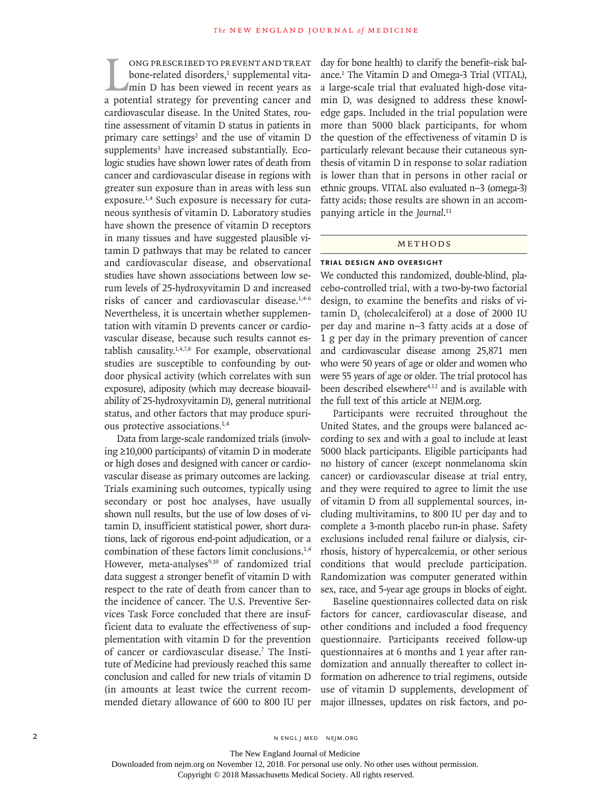ONG PRESCRIBED TO PREVENT AND TREAT bone-related disorders,<sup>1</sup> supplemental vita-<br>min D has been viewed in recent years as<br>a potential strategy for preventing cancer and ong prescribed to prevent and treat bone-related disorders,<sup>1</sup> supplemental vitamin D has been viewed in recent years as cardiovascular disease. In the United States, routine assessment of vitamin D status in patients in primary care settings<sup>2</sup> and the use of vitamin D supplements<sup>3</sup> have increased substantially. Ecologic studies have shown lower rates of death from cancer and cardiovascular disease in regions with greater sun exposure than in areas with less sun exposure.<sup>1,4</sup> Such exposure is necessary for cutaneous synthesis of vitamin D. Laboratory studies have shown the presence of vitamin D receptors in many tissues and have suggested plausible vitamin D pathways that may be related to cancer and cardiovascular disease, and observational studies have shown associations between low serum levels of 25-hydroxyvitamin D and increased risks of cancer and cardiovascular disease.1,4-6 Nevertheless, it is uncertain whether supplementation with vitamin D prevents cancer or cardiovascular disease, because such results cannot establish causality.1,4,7,8 For example, observational studies are susceptible to confounding by outdoor physical activity (which correlates with sun exposure), adiposity (which may decrease bioavailability of 25-hydroxyvitamin D), general nutritional status, and other factors that may produce spurious protective associations.1,4

Data from large-scale randomized trials (involving ≥10,000 participants) of vitamin D in moderate or high doses and designed with cancer or cardiovascular disease as primary outcomes are lacking. Trials examining such outcomes, typically using secondary or post hoc analyses, have usually shown null results, but the use of low doses of vitamin D, insufficient statistical power, short durations, lack of rigorous end-point adjudication, or a combination of these factors limit conclusions.1,4 However, meta-analyses<sup>9,10</sup> of randomized trial data suggest a stronger benefit of vitamin D with respect to the rate of death from cancer than to the incidence of cancer. The U.S. Preventive Services Task Force concluded that there are insufficient data to evaluate the effectiveness of supplementation with vitamin D for the prevention of cancer or cardiovascular disease.<sup>7</sup> The Institute of Medicine had previously reached this same conclusion and called for new trials of vitamin D (in amounts at least twice the current recommended dietary allowance of 600 to 800 IU per day for bone health) to clarify the benefit–risk balance.1 The Vitamin D and Omega-3 Trial (VITAL), a large-scale trial that evaluated high-dose vitamin D, was designed to address these knowledge gaps. Included in the trial population were more than 5000 black participants, for whom the question of the effectiveness of vitamin D is particularly relevant because their cutaneous synthesis of vitamin D in response to solar radiation is lower than that in persons in other racial or ethnic groups. VITAL also evaluated n−3 (omega-3) fatty acids; those results are shown in an accompanying article in the *Journal*. 11

## METHODS

#### **Trial Design and Oversight**

We conducted this randomized, double-blind, placebo-controlled trial, with a two-by-two factorial design, to examine the benefits and risks of vi $t$ amin  $D_3$  (cholecalciferol) at a dose of 2000 IU per day and marine n−3 fatty acids at a dose of 1 g per day in the primary prevention of cancer and cardiovascular disease among 25,871 men who were 50 years of age or older and women who were 55 years of age or older. The trial protocol has been described elsewhere<sup>4,12</sup> and is available with the full text of this article at NEJM.org.

Participants were recruited throughout the United States, and the groups were balanced according to sex and with a goal to include at least 5000 black participants. Eligible participants had no history of cancer (except nonmelanoma skin cancer) or cardiovascular disease at trial entry, and they were required to agree to limit the use of vitamin D from all supplemental sources, including multivitamins, to 800 IU per day and to complete a 3-month placebo run-in phase. Safety exclusions included renal failure or dialysis, cirrhosis, history of hypercalcemia, or other serious conditions that would preclude participation. Randomization was computer generated within sex, race, and 5-year age groups in blocks of eight.

Baseline questionnaires collected data on risk factors for cancer, cardiovascular disease, and other conditions and included a food frequency questionnaire. Participants received follow-up questionnaires at 6 months and 1 year after randomization and annually thereafter to collect information on adherence to trial regimens, outside use of vitamin D supplements, development of major illnesses, updates on risk factors, and po-

The New England Journal of Medicine Downloaded from nejm.org on November 12, 2018. For personal use only. No other uses without permission.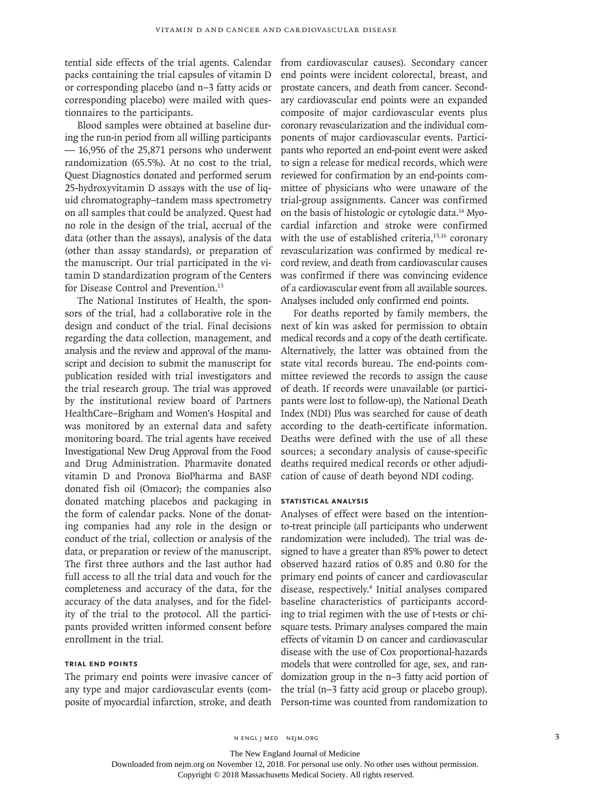tential side effects of the trial agents. Calendar packs containing the trial capsules of vitamin D or corresponding placebo (and n−3 fatty acids or corresponding placebo) were mailed with questionnaires to the participants.

Blood samples were obtained at baseline during the run-in period from all willing participants — 16,956 of the 25,871 persons who underwent randomization (65.5%). At no cost to the trial, Quest Diagnostics donated and performed serum 25-hydroxyvitamin D assays with the use of liquid chromatography–tandem mass spectrometry on all samples that could be analyzed. Quest had no role in the design of the trial, accrual of the data (other than the assays), analysis of the data (other than assay standards), or preparation of the manuscript. Our trial participated in the vitamin D standardization program of the Centers for Disease Control and Prevention.13

The National Institutes of Health, the sponsors of the trial, had a collaborative role in the design and conduct of the trial. Final decisions regarding the data collection, management, and analysis and the review and approval of the manuscript and decision to submit the manuscript for publication resided with trial investigators and the trial research group. The trial was approved by the institutional review board of Partners HealthCare–Brigham and Women's Hospital and was monitored by an external data and safety monitoring board. The trial agents have received Investigational New Drug Approval from the Food and Drug Administration. Pharmavite donated vitamin D and Pronova BioPharma and BASF donated fish oil (Omacor); the companies also donated matching placebos and packaging in the form of calendar packs. None of the donating companies had any role in the design or conduct of the trial, collection or analysis of the data, or preparation or review of the manuscript. The first three authors and the last author had full access to all the trial data and vouch for the completeness and accuracy of the data, for the accuracy of the data analyses, and for the fidelity of the trial to the protocol. All the participants provided written informed consent before enrollment in the trial.

#### **Trial End Points**

The primary end points were invasive cancer of any type and major cardiovascular events (composite of myocardial infarction, stroke, and death Person-time was counted from randomization to

from cardiovascular causes). Secondary cancer end points were incident colorectal, breast, and prostate cancers, and death from cancer. Secondary cardiovascular end points were an expanded composite of major cardiovascular events plus coronary revascularization and the individual components of major cardiovascular events. Participants who reported an end-point event were asked to sign a release for medical records, which were reviewed for confirmation by an end-points committee of physicians who were unaware of the trial-group assignments. Cancer was confirmed on the basis of histologic or cytologic data.14 Myocardial infarction and stroke were confirmed with the use of established criteria,<sup>15,16</sup> coronary revascularization was confirmed by medical record review, and death from cardiovascular causes was confirmed if there was convincing evidence of a cardiovascular event from all available sources. Analyses included only confirmed end points.

For deaths reported by family members, the next of kin was asked for permission to obtain medical records and a copy of the death certificate. Alternatively, the latter was obtained from the state vital records bureau. The end-points committee reviewed the records to assign the cause of death. If records were unavailable (or participants were lost to follow-up), the National Death Index (NDI) Plus was searched for cause of death according to the death-certificate information. Deaths were defined with the use of all these sources; a secondary analysis of cause-specific deaths required medical records or other adjudication of cause of death beyond NDI coding.

## **Statistical Analysis**

Analyses of effect were based on the intentionto-treat principle (all participants who underwent randomization were included). The trial was designed to have a greater than 85% power to detect observed hazard ratios of 0.85 and 0.80 for the primary end points of cancer and cardiovascular disease, respectively.4 Initial analyses compared baseline characteristics of participants according to trial regimen with the use of t-tests or chisquare tests. Primary analyses compared the main effects of vitamin D on cancer and cardiovascular disease with the use of Cox proportional-hazards models that were controlled for age, sex, and randomization group in the n−3 fatty acid portion of the trial (n−3 fatty acid group or placebo group).

n engl j med nejm.org 3

The New England Journal of Medicine

Downloaded from nejm.org on November 12, 2018. For personal use only. No other uses without permission.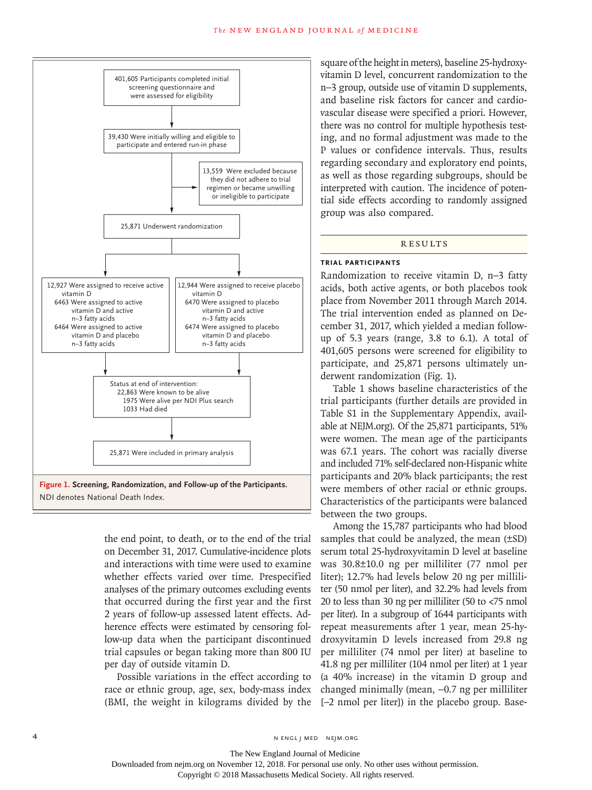

the end point, to death, or to the end of the trial on December 31, 2017. Cumulative-incidence plots and interactions with time were used to examine whether effects varied over time. Prespecified analyses of the primary outcomes excluding events that occurred during the first year and the first 2 years of follow-up assessed latent effects. Adherence effects were estimated by censoring follow-up data when the participant discontinued trial capsules or began taking more than 800 IU per day of outside vitamin D.

Possible variations in the effect according to race or ethnic group, age, sex, body-mass index (BMI, the weight in kilograms divided by the square of the height in meters), baseline 25-hydroxyvitamin D level, concurrent randomization to the n−3 group, outside use of vitamin D supplements, and baseline risk factors for cancer and cardiovascular disease were specified a priori. However, there was no control for multiple hypothesis testing, and no formal adjustment was made to the P values or confidence intervals. Thus, results regarding secondary and exploratory end points, as well as those regarding subgroups, should be interpreted with caution. The incidence of potential side effects according to randomly assigned group was also compared.

#### **RESULTS**

#### **Trial Participants**

Randomization to receive vitamin D, n−3 fatty acids, both active agents, or both placebos took place from November 2011 through March 2014. The trial intervention ended as planned on December 31, 2017, which yielded a median followup of 5.3 years (range, 3.8 to 6.1). A total of 401,605 persons were screened for eligibility to participate, and 25,871 persons ultimately underwent randomization (Fig. 1).

Table 1 shows baseline characteristics of the trial participants (further details are provided in Table S1 in the Supplementary Appendix, available at NEJM.org). Of the 25,871 participants, 51% were women. The mean age of the participants was 67.1 years. The cohort was racially diverse and included 71% self-declared non-Hispanic white participants and 20% black participants; the rest were members of other racial or ethnic groups. Characteristics of the participants were balanced between the two groups.

Among the 15,787 participants who had blood samples that could be analyzed, the mean (±SD) serum total 25-hydroxyvitamin D level at baseline was 30.8±10.0 ng per milliliter (77 nmol per liter); 12.7% had levels below 20 ng per milliliter (50 nmol per liter), and 32.2% had levels from 20 to less than 30 ng per milliliter (50 to <75 nmol per liter). In a subgroup of 1644 participants with repeat measurements after 1 year, mean 25-hydroxyvitamin D levels increased from 29.8 ng per milliliter (74 nmol per liter) at baseline to 41.8 ng per milliliter (104 nmol per liter) at 1 year (a 40% increase) in the vitamin D group and changed minimally (mean, −0.7 ng per milliliter [−2 nmol per liter]) in the placebo group. Base-

The New England Journal of Medicine Downloaded from nejm.org on November 12, 2018. For personal use only. No other uses without permission.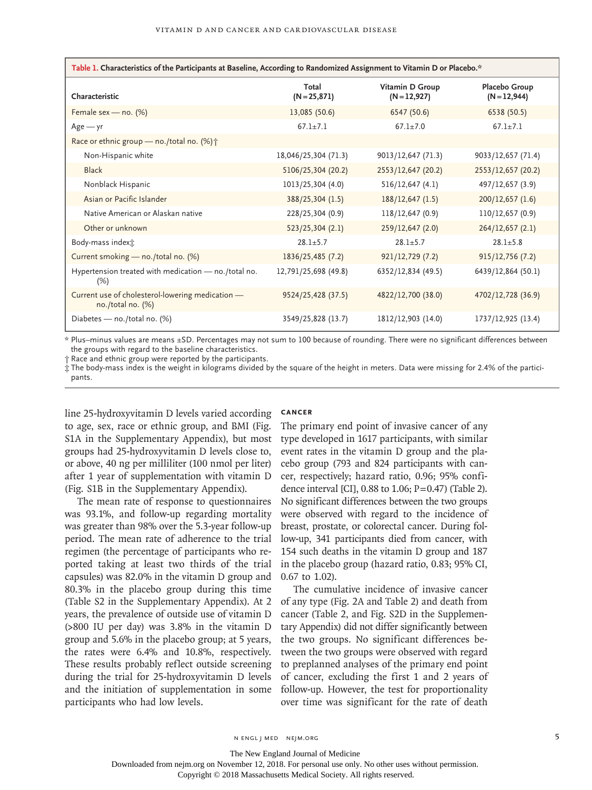| Table 1. Characteristics of the Participants at Baseline, According to Randomized Assignment to Vitamin D or Placebo.* |                       |                                 |                                 |
|------------------------------------------------------------------------------------------------------------------------|-----------------------|---------------------------------|---------------------------------|
| Characteristic                                                                                                         | Total<br>$(N=25,871)$ | Vitamin D Group<br>$(N=12,927)$ | Placebo Group<br>$(N = 12,944)$ |
| Female sex — no. $(\%)$                                                                                                | 13,085 (50.6)         | 6547 (50.6)                     | 6538 (50.5)                     |
| $Age - yr$                                                                                                             | $67.1 \pm 7.1$        | $67.1 \pm 7.0$                  | $67.1 \pm 7.1$                  |
| Race or ethnic group — no./total no. (%) $\uparrow$                                                                    |                       |                                 |                                 |
| Non-Hispanic white                                                                                                     | 18,046/25,304 (71.3)  | 9013/12,647 (71.3)              | 9033/12,657 (71.4)              |
| <b>Black</b>                                                                                                           | 5106/25,304 (20.2)    | 2553/12,647 (20.2)              | 2553/12,657 (20.2)              |
| Nonblack Hispanic                                                                                                      | 1013/25,304 (4.0)     | 516/12,647 (4.1)                | 497/12,657 (3.9)                |
| Asian or Pacific Islander                                                                                              | 388/25,304 (1.5)      | 188/12,647 (1.5)                | 200/12,657 (1.6)                |
| Native American or Alaskan native                                                                                      | 228/25,304 (0.9)      | 118/12,647 (0.9)                | 110/12,657 (0.9)                |
| Other or unknown                                                                                                       | 523/25,304 (2.1)      | 259/12,647 (2.0)                | 264/12,657(2.1)                 |
| Body-mass indext:                                                                                                      | $28.1 + 5.7$          | $28.1 + 5.7$                    | $28.1 + 5.8$                    |
| Current smoking - no./total no. (%)                                                                                    | 1836/25,485 (7.2)     | 921/12,729 (7.2)                | 915/12,756 (7.2)                |
| Hypertension treated with medication - no./total no.<br>(%)                                                            | 12,791/25,698 (49.8)  | 6352/12,834 (49.5)              | 6439/12,864 (50.1)              |
| Current use of cholesterol-lowering medication -<br>no./total no. $(%)$                                                | 9524/25,428 (37.5)    | 4822/12,700 (38.0)              | 4702/12,728 (36.9)              |
| Diabetes - no./total no. (%)                                                                                           | 3549/25,828 (13.7)    | 1812/12,903 (14.0)              | 1737/12,925 (13.4)              |

\* Plus–minus values are means ±SD. Percentages may not sum to 100 because of rounding. There were no significant differences between the groups with regard to the baseline characteristics.

† Race and ethnic group were reported by the participants.

‡ The body-mass index is the weight in kilograms divided by the square of the height in meters. Data were missing for 2.4% of the participants.

line 25-hydroxyvitamin D levels varied according to age, sex, race or ethnic group, and BMI (Fig. S1A in the Supplementary Appendix), but most groups had 25-hydroxyvitamin D levels close to, or above, 40 ng per milliliter (100 nmol per liter) after 1 year of supplementation with vitamin D (Fig. S1B in the Supplementary Appendix).

The mean rate of response to questionnaires was 93.1%, and follow-up regarding mortality was greater than 98% over the 5.3-year follow-up period. The mean rate of adherence to the trial regimen (the percentage of participants who reported taking at least two thirds of the trial capsules) was 82.0% in the vitamin D group and 80.3% in the placebo group during this time (Table S2 in the Supplementary Appendix). At 2 years, the prevalence of outside use of vitamin D (>800 IU per day) was 3.8% in the vitamin D group and 5.6% in the placebo group; at 5 years, the rates were 6.4% and 10.8%, respectively. These results probably reflect outside screening during the trial for 25-hydroxyvitamin D levels and the initiation of supplementation in some participants who had low levels.

#### **Cancer**

The primary end point of invasive cancer of any type developed in 1617 participants, with similar event rates in the vitamin D group and the placebo group (793 and 824 participants with cancer, respectively; hazard ratio, 0.96; 95% confidence interval [CI], 0.88 to 1.06; P=0.47) (Table 2). No significant differences between the two groups were observed with regard to the incidence of breast, prostate, or colorectal cancer. During follow-up, 341 participants died from cancer, with 154 such deaths in the vitamin D group and 187 in the placebo group (hazard ratio, 0.83; 95% CI, 0.67 to 1.02).

The cumulative incidence of invasive cancer of any type (Fig. 2A and Table 2) and death from cancer (Table 2, and Fig. S2D in the Supplementary Appendix) did not differ significantly between the two groups. No significant differences between the two groups were observed with regard to preplanned analyses of the primary end point of cancer, excluding the first 1 and 2 years of follow-up. However, the test for proportionality over time was significant for the rate of death

The New England Journal of Medicine

Downloaded from nejm.org on November 12, 2018. For personal use only. No other uses without permission.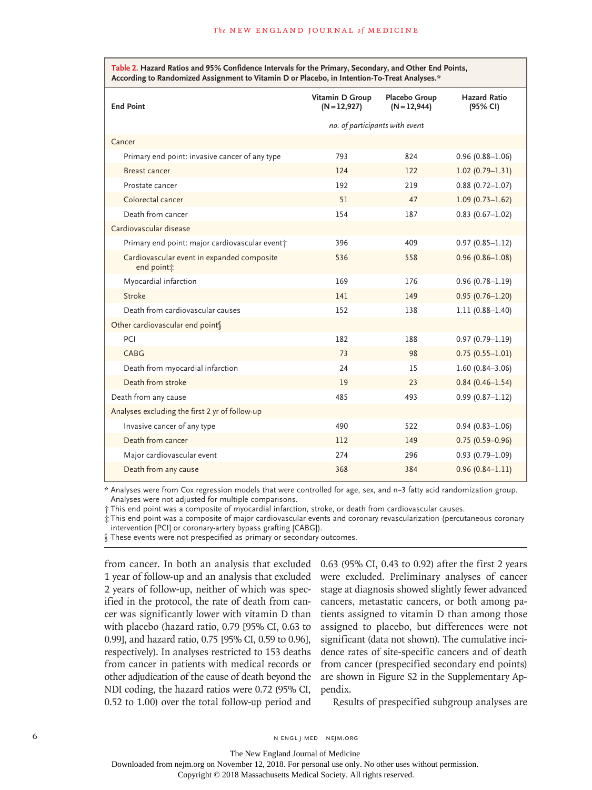**Table 2. Hazard Ratios and 95% Confidence Intervals for the Primary, Secondary, and Other End Points, According to Randomized Assignment to Vitamin D or Placebo, in Intention-To-Treat Analyses.\***

| <b>End Point</b>                                                     | Vitamin D Group<br>$(N = 12,927)$ | Placebo Group<br>$(N = 12,944)$ | <b>Hazard Ratio</b><br>(95% CI) |
|----------------------------------------------------------------------|-----------------------------------|---------------------------------|---------------------------------|
|                                                                      | no. of participants with event    |                                 |                                 |
| Cancer                                                               |                                   |                                 |                                 |
| Primary end point: invasive cancer of any type                       | 793                               | 824                             | $0.96(0.88 - 1.06)$             |
| Breast cancer                                                        | 124                               | 122                             | $1.02(0.79 - 1.31)$             |
| Prostate cancer                                                      | 192                               | 219                             | $0.88(0.72 - 1.07)$             |
| Colorectal cancer                                                    | 51                                | 47                              | $1.09(0.73 - 1.62)$             |
| Death from cancer                                                    | 154                               | 187                             | $0.83$ (0.67-1.02)              |
| Cardiovascular disease                                               |                                   |                                 |                                 |
| Primary end point: major cardiovascular eventt                       | 396                               | 409                             | $0.97(0.85 - 1.12)$             |
| Cardiovascular event in expanded composite<br>end point <sup>*</sup> | 536                               | 558                             | $0.96(0.86 - 1.08)$             |
| Myocardial infarction                                                | 169                               | 176                             | $0.96(0.78 - 1.19)$             |
| Stroke                                                               | 141                               | 149                             | $0.95(0.76 - 1.20)$             |
| Death from cardiovascular causes                                     | 152                               | 138                             | $1.11(0.88 - 1.40)$             |
| Other cardiovascular end points                                      |                                   |                                 |                                 |
| PCI                                                                  | 182                               | 188                             | $0.97(0.79 - 1.19)$             |
| CABG                                                                 | 73                                | 98                              | $0.75(0.55 - 1.01)$             |
| Death from myocardial infarction                                     | 24                                | 15                              | $1.60(0.84 - 3.06)$             |
| Death from stroke                                                    | 19                                | 23                              | $0.84(0.46 - 1.54)$             |
| Death from any cause                                                 | 485                               | 493                             | $0.99(0.87 - 1.12)$             |
| Analyses excluding the first 2 yr of follow-up                       |                                   |                                 |                                 |
| Invasive cancer of any type                                          | 490                               | 522                             | $0.94(0.83 - 1.06)$             |
| Death from cancer                                                    | 112                               | 149                             | $0.75(0.59 - 0.96)$             |
| Major cardiovascular event                                           | 274                               | 296                             | $0.93(0.79 - 1.09)$             |
| Death from any cause                                                 | 368                               | 384                             | $0.96(0.84 - 1.11)$             |

\* Analyses were from Cox regression models that were controlled for age, sex, and n−3 fatty acid randomization group. Analyses were not adjusted for multiple comparisons.

† This end point was a composite of myocardial infarction, stroke, or death from cardiovascular causes.

‡ This end point was a composite of major cardiovascular events and coronary revascularization (percutaneous coronary

intervention [PCI] or coronary-artery bypass grafting [CABG]).

These events were not prespecified as primary or secondary outcomes.

from cancer. In both an analysis that excluded 1 year of follow-up and an analysis that excluded 2 years of follow-up, neither of which was specified in the protocol, the rate of death from cancer was significantly lower with vitamin D than with placebo (hazard ratio, 0.79 [95% CI, 0.63 to 0.99], and hazard ratio, 0.75 [95% CI, 0.59 to 0.96], respectively). In analyses restricted to 153 deaths from cancer in patients with medical records or other adjudication of the cause of death beyond the NDI coding, the hazard ratios were 0.72 (95% CI, 0.52 to 1.00) over the total follow-up period and

0.63 (95% CI, 0.43 to 0.92) after the first 2 years were excluded. Preliminary analyses of cancer stage at diagnosis showed slightly fewer advanced cancers, metastatic cancers, or both among patients assigned to vitamin D than among those assigned to placebo, but differences were not significant (data not shown). The cumulative incidence rates of site-specific cancers and of death from cancer (prespecified secondary end points) are shown in Figure S2 in the Supplementary Appendix.

Results of prespecified subgroup analyses are

The New England Journal of Medicine Downloaded from nejm.org on November 12, 2018. For personal use only. No other uses without permission.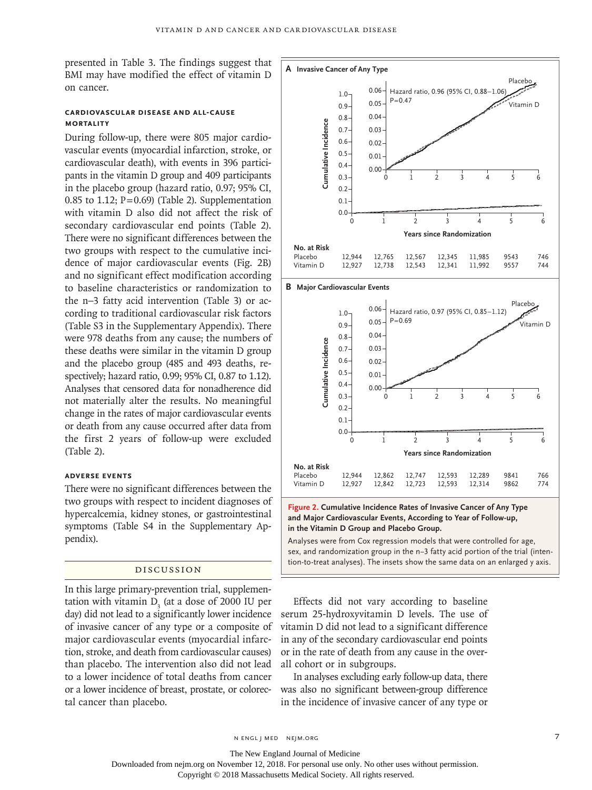presented in Table 3. The findings suggest that BMI may have modified the effect of vitamin D on cancer.

## **Cardiovascular Disease and All-Cause Mortality**

During follow-up, there were 805 major cardiovascular events (myocardial infarction, stroke, or cardiovascular death), with events in 396 participants in the vitamin D group and 409 participants in the placebo group (hazard ratio, 0.97; 95% CI, 0.85 to 1.12;  $P=0.69$ ) (Table 2). Supplementation with vitamin D also did not affect the risk of secondary cardiovascular end points (Table 2). There were no significant differences between the two groups with respect to the cumulative incidence of major cardiovascular events (Fig. 2B) and no significant effect modification according to baseline characteristics or randomization to the n−3 fatty acid intervention (Table 3) or according to traditional cardiovascular risk factors (Table S3 in the Supplementary Appendix). There were 978 deaths from any cause; the numbers of these deaths were similar in the vitamin D group and the placebo group (485 and 493 deaths, respectively; hazard ratio, 0.99; 95% CI, 0.87 to 1.12). Analyses that censored data for nonadherence did not materially alter the results. No meaningful change in the rates of major cardiovascular events or death from any cause occurred after data from the first 2 years of follow-up were excluded (Table 2).

#### **Adverse Events**

There were no significant differences between the two groups with respect to incident diagnoses of hypercalcemia, kidney stones, or gastrointestinal symptoms (Table S4 in the Supplementary Appendix).

## Discussion

In this large primary-prevention trial, supplementation with vitamin  $D_3$  (at a dose of 2000 IU per day) did not lead to a significantly lower incidence of invasive cancer of any type or a composite of major cardiovascular events (myocardial infarction, stroke, and death from cardiovascular causes) than placebo. The intervention also did not lead to a lower incidence of total deaths from cancer or a lower incidence of breast, prostate, or colorectal cancer than placebo.



**Figure 2. Cumulative Incidence Rates of Invasive Cancer of Any Type and Major Cardiovascular Events, According to Year of Follow-up, in the Vitamin D Group and Placebo Group.**

12,747 12,723 12,593 12,593 12,289 12,314 9841 9862 766 774

Analyses were from Cox regression models that were controlled for age, sex, and randomization group in the n−3 fatty acid portion of the trial (inten-

Effects did not vary according to baseline serum 25-hydroxyvitamin D levels. The use of vitamin D did not lead to a significant difference in any of the secondary cardiovascular end points or in the rate of death from any cause in the overall cohort or in subgroups.

In analyses excluding early follow-up data, there was also no significant between-group difference in the incidence of invasive cancer of any type or

The New England Journal of Medicine

Downloaded from nejm.org on November 12, 2018. For personal use only. No other uses without permission.

Copyright © 2018 Massachusetts Medical Society. All rights reserved.

Placebo Vitamin D 12,944 12,927

12,862 12,842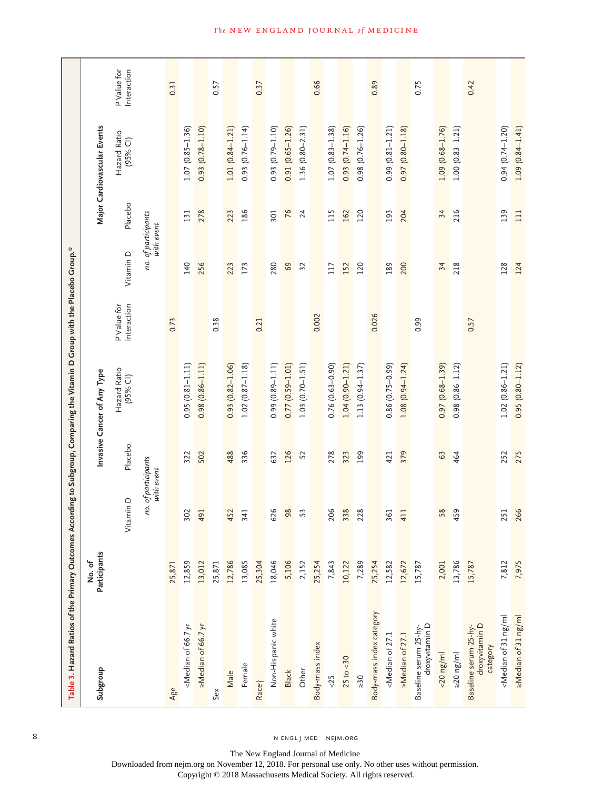| Table 3. Hazard Ratios of the Primary Outcomes According to Subgroup, Comparing the Vitamin D Group with the Placebo Group."                                                                                                 |                        |                                   |         |                             |                            |                                   |         |                             |                            |
|------------------------------------------------------------------------------------------------------------------------------------------------------------------------------------------------------------------------------|------------------------|-----------------------------------|---------|-----------------------------|----------------------------|-----------------------------------|---------|-----------------------------|----------------------------|
| Subgroup                                                                                                                                                                                                                     | Participants<br>No. of |                                   |         | Invasive Cancer of Any Type |                            |                                   |         | Major Cardiovascular Events |                            |
|                                                                                                                                                                                                                              |                        | Vitamin D                         | Placebo | Hazard Ratio<br>(95% CI)    | Interaction<br>P Value for | Vitamin D                         | Placebo | Hazard Ratio<br>(95% CI)    | P Value for<br>Interaction |
|                                                                                                                                                                                                                              |                        | no. of participants<br>with event |         |                             |                            | no. of participants<br>with event |         |                             |                            |
| Age                                                                                                                                                                                                                          | 25,871                 |                                   |         |                             | 0.73                       |                                   |         |                             | 0.31                       |
| <median 66.7="" of="" td="" yr<=""><td>12,859</td><td>302</td><td>322</td><td><math>0.95(0.81 - 1.11)</math></td><td></td><td>140</td><td>131</td><td><math>1.07(0.85 - 1.36)</math></td><td></td></median>                  | 12,859                 | 302                               | 322     | $0.95(0.81 - 1.11)$         |                            | 140                               | 131     | $1.07(0.85 - 1.36)$         |                            |
| >Median of 66.7 yr                                                                                                                                                                                                           | 13,012                 | 491                               | 502     | $0.98(0.86 - 1.11)$         |                            | 256                               | 278     | $0.93(0.78 - 1.10)$         |                            |
| Sex                                                                                                                                                                                                                          | 25,871                 |                                   |         |                             | 0.38                       |                                   |         |                             | 0.57                       |
| Male                                                                                                                                                                                                                         | 12,786                 | 452                               | 488     | $0.93$ $(0.82 - 1.06)$      |                            | 223                               | 223     | $1.01(0.84 - 1.21)$         |                            |
| Female                                                                                                                                                                                                                       | 13,085                 | 341                               | 336     | $1.02(0.87 - 1.18)$         |                            | 173                               | 186     | $0.93(0.76 - 1.14)$         |                            |
| Racet                                                                                                                                                                                                                        | 25,304                 |                                   |         |                             | 0.21                       |                                   |         |                             | 0.37                       |
| Non-Hispanic white                                                                                                                                                                                                           | 18,046                 | 626                               | 632     | $0.99(0.89 - 1.11)$         |                            | 280                               | 301     | $0.93(0.79 - 1.10)$         |                            |
| Black                                                                                                                                                                                                                        | 5,106                  | 98                                | 126     | $0.77(0.59 - 1.01)$         |                            | 69                                | 76      | $0.91(0.65 - 1.26)$         |                            |
| Other                                                                                                                                                                                                                        | 2,152                  | 53                                | 52      | $(0.70 - 1.51)$<br>1.03     |                            | 32                                | 24      | $1.36(0.80 - 2.31)$         |                            |
| Body-mass index                                                                                                                                                                                                              | 25,254                 |                                   |         |                             | 0.002                      |                                   |         |                             | 0.66                       |
| &5                                                                                                                                                                                                                           | 7,843                  | 206                               | 278     | $0.76(0.63 - 0.90)$         |                            | 117                               | 115     | $1.07(0.83 - 1.38)$         |                            |
| $25$ to $<$ 30                                                                                                                                                                                                               | 10,122                 | 338                               | 323     | $1.04(0.90 - 1.21)$         |                            | 152                               | 162     | $0.93$ $(0.74 - 1.16)$      |                            |
| $\geq 30$                                                                                                                                                                                                                    | 7,289                  | 228                               | 199     | $1.13(0.94 - 1.37)$         |                            | 120                               | 120     | $0.98(0.76 - 1.26)$         |                            |
| Body-mass index category                                                                                                                                                                                                     | 25,254                 |                                   |         |                             | 0.026                      |                                   |         |                             | 0.89                       |
| <median 27.1<="" of="" td=""><td>12,582</td><td>361</td><td>421</td><td><math>0.86(0.75-0.99)</math></td><td></td><td>189</td><td>193</td><td><math>0.99(0.81 - 1.21)</math></td><td></td></median>                          | 12,582                 | 361                               | 421     | $0.86(0.75-0.99)$           |                            | 189                               | 193     | $0.99(0.81 - 1.21)$         |                            |
| >Median of 27.1                                                                                                                                                                                                              | 12,672                 | 411                               | 379     | $1.08(0.94 - 1.24)$         |                            | 200                               | 204     | $0.97(0.80 - 1.18)$         |                            |
| droxyvitamin D<br>Baseline serum 25-hy-                                                                                                                                                                                      | 15,787                 |                                   |         |                             | 0.99                       |                                   |         |                             | 0.75                       |
| $<$ 20 $ng/ml$                                                                                                                                                                                                               | 2,001                  | 58                                | 63      | $0.97(0.68 - 1.39)$         |                            | 34                                | 34      | $1.09(0.68 - 1.76)$         |                            |
| $\geq 20$ ng/ml                                                                                                                                                                                                              | 13,786                 | 459                               | 464     | $0.98(0.86 - 1.12)$         |                            | 218                               | 216     | $1.00(0.83 - 1.21)$         |                            |
| droxyvitamin D<br>Baseline serum 25-hy<br>category                                                                                                                                                                           | 15,787                 |                                   |         |                             | 0.57                       |                                   |         |                             | 0.42                       |
| <median 31="" ml<="" ng="" of="" td=""><td>7,812</td><td>251</td><td>252</td><td><math>1.02(0.86 - 1.21)</math></td><td></td><td>128</td><td>139</td><td><math>0.94</math> <math>(0.74 - 1.20)</math></td><td></td></median> | 7,812                  | 251                               | 252     | $1.02(0.86 - 1.21)$         |                            | 128                               | 139     | $0.94$ $(0.74 - 1.20)$      |                            |
| >Median of 31 ng/ml                                                                                                                                                                                                          | 7,975                  | 266                               | 275     | $0.95(0.80 - 1.12)$         |                            | 124                               | 111     | $1.09(0.84 - 1.41)$         |                            |

The New England Journal of Medicine Downloaded from nejm.org on November 12, 2018. For personal use only. No other uses without permission.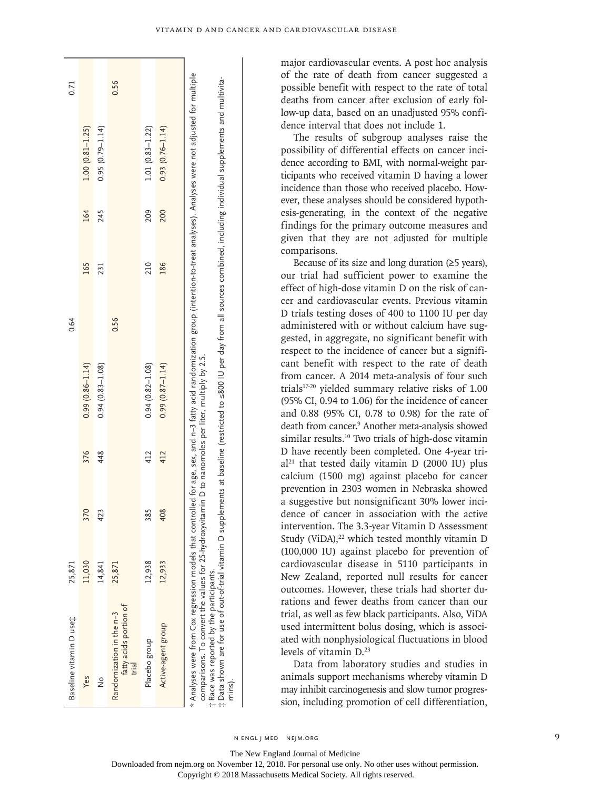| Baseline vitamin D use;                                                                                                                                                                                                                                                                                                                                                                                                                                                                                                                     | 25,871 |     |     |                     | 0.64 |     |     |                     | 0.71 |
|---------------------------------------------------------------------------------------------------------------------------------------------------------------------------------------------------------------------------------------------------------------------------------------------------------------------------------------------------------------------------------------------------------------------------------------------------------------------------------------------------------------------------------------------|--------|-----|-----|---------------------|------|-----|-----|---------------------|------|
| Yes                                                                                                                                                                                                                                                                                                                                                                                                                                                                                                                                         | 11,030 | 370 | 376 | $0.99(0.86 - 1.14)$ |      | 165 | 164 | $1.00(0.81 - 1.25)$ |      |
| $\frac{1}{2}$                                                                                                                                                                                                                                                                                                                                                                                                                                                                                                                               | 14,841 | 423 | 448 | $0.94(0.83 - 1.08)$ |      | 231 | 245 | $0.95(0.79 - 1.14)$ |      |
| fatty acids portion of<br>Randomization in the n-3<br>trial                                                                                                                                                                                                                                                                                                                                                                                                                                                                                 | 25,871 |     |     |                     | 0.56 |     |     |                     | 0.56 |
| Placebo group                                                                                                                                                                                                                                                                                                                                                                                                                                                                                                                               | 12,938 | 385 | 412 | $0.94(0.82 - 1.08)$ |      | 210 | 209 | $1.01(0.83 - 1.22)$ |      |
| Active-agent group                                                                                                                                                                                                                                                                                                                                                                                                                                                                                                                          | 12,933 | 408 | 412 | $0.99(0.87 - 1.14)$ |      | 186 | 200 | $0.93(0.76 - 1.14)$ |      |
| * Analyses were from Cox regression models that controlled for age, sex, and n-3 fatty acid randomization group (intention-to-treat analyses). Analyses were not adjusted for multiple<br>‡ Data shown are for use of out-of-trial vitamin D supplements at baseline (restricted to ≤800 IU per day from all sources combined, including individual supplements and multivita∙<br>comparisons. To convert the values for 25-hydroxyvitamin D to nanomoles per liter, multiply by 2.5.<br>t Race was reported by the participants.<br>mins). |        |     |     |                     |      |     |     |                     |      |

major cardiovascular events. A post hoc analysis of the rate of death from cancer suggested a possible benefit with respect to the rate of total deaths from cancer after exclusion of early fol low-up data, based on an unadjusted 95% confi dence interval that does not include 1.

The results of subgroup analyses raise the possibility of differential effects on cancer inci dence according to BMI, with normal-weight participants who received vitamin D having a lower incidence than those who received placebo. How ever, these analyses should be considered hypoth esis-generating, in the context of the negative findings for the primary outcome measures and given that they are not adjusted for multiple comparisons.

Because of its size and long duration (≥5 years), our trial had sufficient power to examine the effect of high-dose vitamin D on the risk of can cer and cardiovascular events. Previous vitamin D trials testing doses of 400 to 1100 IU per day administered with or without calcium have sug gested, in aggregate, no significant benefit with respect to the incidence of cancer but a signifi cant benefit with respect to the rate of death from cancer. A 2014 meta-analysis of four such trials17-20 yielded summary relative risks of 1.00 (95% CI, 0.94 to 1.06) for the incidence of cancer and 0.88 (95% CI, 0.78 to 0.98) for the rate of death from cancer. 9 Another meta-analysis showed similar results.<sup>10</sup> Two trials of high-dose vitamin D have recently been completed. One 4-year tri  $al<sup>21</sup>$  that tested daily vitamin D (2000 IU) plus calcium (1500 mg) against placebo for cancer prevention in 2303 women in Nebraska showed a suggestive but nonsignificant 30% lower inci dence of cancer in association with the active intervention. The 3.3-year Vitamin D Assessment Study (ViDA), $22$  which tested monthly vitamin D (100,000 IU) against placebo for prevention of cardiovascular disease in 5110 participants in New Zealand, reported null results for cancer outcomes. However, these trials had shorter du rations and fewer deaths from cancer than our trial, as well as few black participants. Also, ViDA used intermittent bolus dosing, which is associ ated with nonphysiological fluctuations in blood levels of vitamin D.23

Data from laboratory studies and studies in animals support mechanisms whereby vitamin D may inhibit carcinogenesis and slow tumor progres sion, including promotion of cell differentiation,

n engl j med nejm.org

The New England Journal of Medicine

Downloaded from nejm.org on November 12, 2018. For personal use only. No other uses without permission.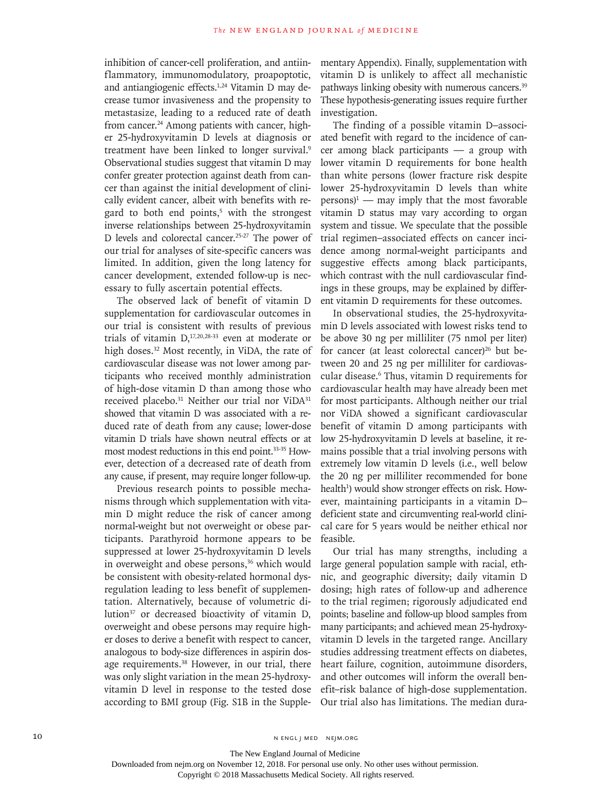inhibition of cancer-cell proliferation, and antiinflammatory, immunomodulatory, proapoptotic, and antiangiogenic effects.1,24 Vitamin D may decrease tumor invasiveness and the propensity to metastasize, leading to a reduced rate of death from cancer.<sup>24</sup> Among patients with cancer, higher 25-hydroxyvitamin D levels at diagnosis or treatment have been linked to longer survival.<sup>9</sup> Observational studies suggest that vitamin D may confer greater protection against death from cancer than against the initial development of clinically evident cancer, albeit with benefits with regard to both end points,<sup>5</sup> with the strongest inverse relationships between 25-hydroxyvitamin D levels and colorectal cancer.<sup>25-27</sup> The power of our trial for analyses of site-specific cancers was limited. In addition, given the long latency for cancer development, extended follow-up is necessary to fully ascertain potential effects.

The observed lack of benefit of vitamin D supplementation for cardiovascular outcomes in our trial is consistent with results of previous trials of vitamin  $D<sub>1</sub><sup>17,20,28-33</sup>$  even at moderate or high doses.<sup>32</sup> Most recently, in ViDA, the rate of cardiovascular disease was not lower among participants who received monthly administration of high-dose vitamin D than among those who received placebo.<sup>31</sup> Neither our trial nor ViDA<sup>31</sup> showed that vitamin D was associated with a reduced rate of death from any cause; lower-dose vitamin D trials have shown neutral effects or at most modest reductions in this end point.33-35 However, detection of a decreased rate of death from any cause, if present, may require longer follow-up.

Previous research points to possible mechanisms through which supplementation with vitamin D might reduce the risk of cancer among normal-weight but not overweight or obese participants. Parathyroid hormone appears to be suppressed at lower 25-hydroxyvitamin D levels in overweight and obese persons,<sup>36</sup> which would be consistent with obesity-related hormonal dysregulation leading to less benefit of supplementation. Alternatively, because of volumetric dilution<sup>37</sup> or decreased bioactivity of vitamin D, overweight and obese persons may require higher doses to derive a benefit with respect to cancer, analogous to body-size differences in aspirin dosage requirements.<sup>38</sup> However, in our trial, there was only slight variation in the mean 25-hydroxyvitamin D level in response to the tested dose according to BMI group (Fig. S1B in the Supplementary Appendix). Finally, supplementation with vitamin D is unlikely to affect all mechanistic pathways linking obesity with numerous cancers.<sup>39</sup> These hypothesis-generating issues require further investigation.

The finding of a possible vitamin D–associated benefit with regard to the incidence of cancer among black participants — a group with lower vitamin D requirements for bone health than white persons (lower fracture risk despite lower 25-hydroxyvitamin D levels than white  $persons<sup>1</sup>$  — may imply that the most favorable vitamin D status may vary according to organ system and tissue. We speculate that the possible trial regimen–associated effects on cancer incidence among normal-weight participants and suggestive effects among black participants, which contrast with the null cardiovascular findings in these groups, may be explained by different vitamin D requirements for these outcomes.

In observational studies, the 25-hydroxyvitamin D levels associated with lowest risks tend to be above 30 ng per milliliter (75 nmol per liter) for cancer (at least colorectal cancer)<sup>26</sup> but between 20 and 25 ng per milliliter for cardiovascular disease.6 Thus, vitamin D requirements for cardiovascular health may have already been met for most participants. Although neither our trial nor ViDA showed a significant cardiovascular benefit of vitamin D among participants with low 25-hydroxyvitamin D levels at baseline, it remains possible that a trial involving persons with extremely low vitamin D levels (i.e., well below the 20 ng per milliliter recommended for bone health<sup>1</sup>) would show stronger effects on risk. However, maintaining participants in a vitamin D– deficient state and circumventing real-world clinical care for 5 years would be neither ethical nor feasible.

Our trial has many strengths, including a large general population sample with racial, ethnic, and geographic diversity; daily vitamin D dosing; high rates of follow-up and adherence to the trial regimen; rigorously adjudicated end points; baseline and follow-up blood samples from many participants; and achieved mean 25-hydroxyvitamin D levels in the targeted range. Ancillary studies addressing treatment effects on diabetes, heart failure, cognition, autoimmune disorders, and other outcomes will inform the overall benefit–risk balance of high-dose supplementation. Our trial also has limitations. The median dura-

10 N ENGL J MED NEJM.ORG

Downloaded from nejm.org on November 12, 2018. For personal use only. No other uses without permission.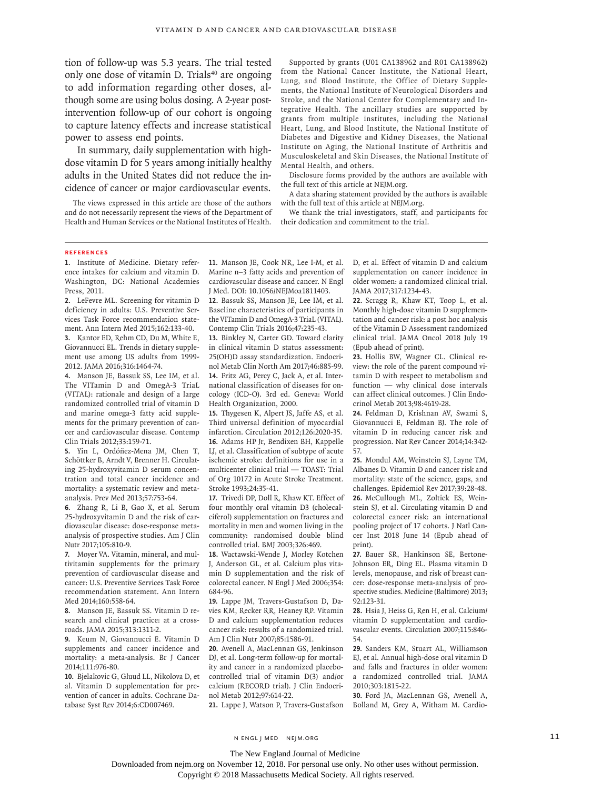tion of follow-up was 5.3 years. The trial tested only one dose of vitamin D. Trials $40$  are ongoing to add information regarding other doses, although some are using bolus dosing. A 2-year postintervention follow-up of our cohort is ongoing to capture latency effects and increase statistical power to assess end points.

In summary, daily supplementation with highdose vitamin D for 5 years among initially healthy adults in the United States did not reduce the incidence of cancer or major cardiovascular events.

The views expressed in this article are those of the authors and do not necessarily represent the views of the Department of Health and Human Services or the National Institutes of Health.

Supported by grants (U01 CA138962 and R01 CA138962) from the National Cancer Institute, the National Heart, Lung, and Blood Institute, the Office of Dietary Supplements, the National Institute of Neurological Disorders and Stroke, and the National Center for Complementary and Integrative Health. The ancillary studies are supported by grants from multiple institutes, including the National Heart, Lung, and Blood Institute, the National Institute of Diabetes and Digestive and Kidney Diseases, the National Institute on Aging, the National Institute of Arthritis and Musculoskeletal and Skin Diseases, the National Institute of Mental Health, and others.

Disclosure forms provided by the authors are available with the full text of this article at NEJM.org.

A data sharing statement provided by the authors is available with the full text of this article at NEJM.org.

We thank the trial investigators, staff, and participants for their dedication and commitment to the trial.

#### **References**

**1.** Institute of Medicine. Dietary reference intakes for calcium and vitamin D. Washington, DC: National Academies Press, 2011.

**2.** LeFevre ML. Screening for vitamin D deficiency in adults: U.S. Preventive Services Task Force recommendation statement. Ann Intern Med 2015;162:133-40. **3.** Kantor ED, Rehm CD, Du M, White E, Giovannucci EL. Trends in dietary supplement use among US adults from 1999- 2012. JAMA 2016;316:1464-74.

**4.** Manson JE, Bassuk SS, Lee IM, et al. The VITamin D and OmegA-3 TriaL (VITAL): rationale and design of a large randomized controlled trial of vitamin D and marine omega-3 fatty acid supplements for the primary prevention of cancer and cardiovascular disease. Contemp Clin Trials 2012;33:159-71.

**5.** Yin L, Ordóñez-Mena JM, Chen T, Schöttker B, Arndt V, Brenner H. Circulating 25-hydroxyvitamin D serum concentration and total cancer incidence and mortality: a systematic review and metaanalysis. Prev Med 2013;57:753-64.

**6.** Zhang R, Li B, Gao X, et al. Serum 25-hydroxyvitamin D and the risk of cardiovascular disease: dose-response metaanalysis of prospective studies. Am J Clin Nutr 2017;105:810-9.

**7.** Moyer VA. Vitamin, mineral, and multivitamin supplements for the primary prevention of cardiovascular disease and cancer: U.S. Preventive Services Task Force recommendation statement. Ann Intern Med 2014;160:558-64.

**8.** Manson JE, Bassuk SS. Vitamin D research and clinical practice: at a crossroads. JAMA 2015;313:1311-2.

**9.** Keum N, Giovannucci E. Vitamin D supplements and cancer incidence and mortality: a meta-analysis. Br J Cancer 2014;111:976-80.

**10.** Bjelakovic G, Gluud LL, Nikolova D, et al. Vitamin D supplementation for prevention of cancer in adults. Cochrane Database Syst Rev 2014;6:CD007469.

**11.** Manson JE, Cook NR, Lee I-M, et al. Marine n−3 fatty acids and prevention of cardiovascular disease and cancer. N Engl J Med. DOI: 10.1056/NEJMoa1811403.

**12.** Bassuk SS, Manson JE, Lee IM, et al. Baseline characteristics of participants in the VITamin D and OmegA-3 TriaL (VITAL). Contemp Clin Trials 2016;47:235-43.

**13.** Binkley N, Carter GD. Toward clarity in clinical vitamin D status assessment: 25(OH)D assay standardization. Endocrinol Metab Clin North Am 2017;46:885-99. **14.** Fritz AG, Percy C, Jack A, et al. International classification of diseases for oncology (ICD-O). 3rd ed. Geneva: World Health Organization, 2000.

**15.** Thygesen K, Alpert JS, Jaffe AS, et al. Third universal definition of myocardial infarction. Circulation 2012;126:2020-35. **16.** Adams HP Jr, Bendixen BH, Kappelle LJ, et al. Classification of subtype of acute ischemic stroke: definitions for use in a multicenter clinical trial — TOAST: Trial of Org 10172 in Acute Stroke Treatment. Stroke 1993;24:35-41.

**17.** Trivedi DP, Doll R, Khaw KT. Effect of four monthly oral vitamin D3 (cholecalciferol) supplementation on fractures and mortality in men and women living in the community: randomised double blind controlled trial. BMJ 2003;326:469.

**18.** Wactawski-Wende J, Morley Kotchen J, Anderson GL, et al. Calcium plus vitamin D supplementation and the risk of colorectal cancer. N Engl J Med 2006;354: 684-96.

**19.** Lappe JM, Travers-Gustafson D, Davies KM, Recker RR, Heaney RP. Vitamin D and calcium supplementation reduces cancer risk: results of a randomized trial. Am J Clin Nutr 2007;85:1586-91.

**20.** Avenell A, MacLennan GS, Jenkinson DJ, et al. Long-term follow-up for mortality and cancer in a randomized placebocontrolled trial of vitamin D(3) and/or calcium (RECORD trial). J Clin Endocrinol Metab 2012;97:614-22.

**21.** Lappe J, Watson P, Travers-Gustafson

D, et al. Effect of vitamin D and calcium supplementation on cancer incidence in older women: a randomized clinical trial. JAMA 2017;317:1234-43.

**22.** Scragg R, Khaw KT, Toop L, et al. Monthly high-dose vitamin D supplementation and cancer risk: a post hoc analysis of the Vitamin D Assessment randomized clinical trial. JAMA Oncol 2018 July 19 (Epub ahead of print).

**23.** Hollis BW, Wagner CL. Clinical review: the role of the parent compound vitamin D with respect to metabolism and function — why clinical dose intervals can affect clinical outcomes. J Clin Endocrinol Metab 2013;98:4619-28.

**24.** Feldman D, Krishnan AV, Swami S, Giovannucci E, Feldman BJ. The role of vitamin D in reducing cancer risk and progression. Nat Rev Cancer 2014;14:342- 57.

**25.** Mondul AM, Weinstein SJ, Layne TM, Albanes D. Vitamin D and cancer risk and mortality: state of the science, gaps, and challenges. Epidemiol Rev 2017;39:28-48. **26.** McCullough ML, Zoltick ES, Weinstein SJ, et al. Circulating vitamin D and colorectal cancer risk: an international pooling project of 17 cohorts. J Natl Cancer Inst 2018 June 14 (Epub ahead of print).

**27.** Bauer SR, Hankinson SE, Bertone-Johnson ER, Ding EL. Plasma vitamin D levels, menopause, and risk of breast cancer: dose-response meta-analysis of prospective studies. Medicine (Baltimore) 2013; 92:123-31.

**28.** Hsia J, Heiss G, Ren H, et al. Calcium/ vitamin D supplementation and cardiovascular events. Circulation 2007;115:846- 54.

**29.** Sanders KM, Stuart AL, Williamson EJ, et al. Annual high-dose oral vitamin D and falls and fractures in older women: a randomized controlled trial. JAMA 2010;303:1815-22.

**30.** Ford JA, MacLennan GS, Avenell A, Bolland M, Grey A, Witham M. Cardio-

The New England Journal of Medicine

Downloaded from nejm.org on November 12, 2018. For personal use only. No other uses without permission.